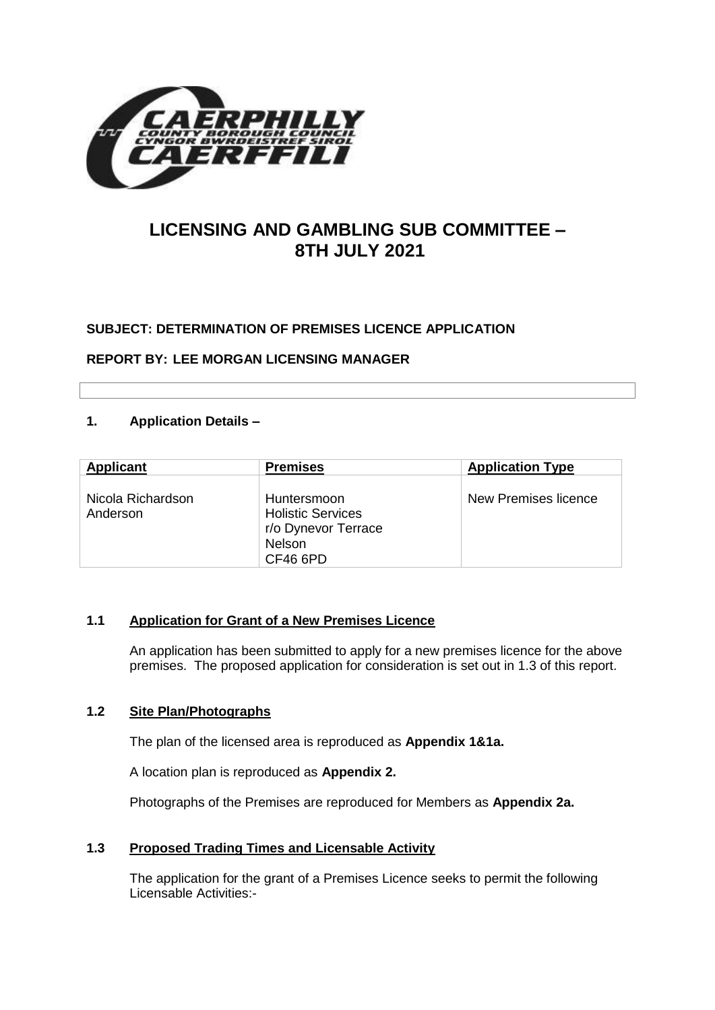

# **LICENSING AND GAMBLING SUB COMMITTEE – 8TH JULY 2021**

# **SUBJECT: DETERMINATION OF PREMISES LICENCE APPLICATION**

**REPORT BY: LEE MORGAN LICENSING MANAGER**

# **1. Application Details –**

| <b>Applicant</b>              | <b>Premises</b>                                                                      | <b>Application Type</b> |
|-------------------------------|--------------------------------------------------------------------------------------|-------------------------|
| Nicola Richardson<br>Anderson | Huntersmoon<br><b>Holistic Services</b><br>r/o Dynevor Terrace<br>Nelson<br>CF46 6PD | New Premises licence    |

#### **1.1 Application for Grant of a New Premises Licence**

An application has been submitted to apply for a new premises licence for the above premises. The proposed application for consideration is set out in 1.3 of this report.

#### **1.2 Site Plan/Photographs**

The plan of the licensed area is reproduced as **Appendix 1&1a.**

A location plan is reproduced as **Appendix 2.**

Photographs of the Premises are reproduced for Members as **Appendix 2a.**

### **1.3 Proposed Trading Times and Licensable Activity**

The application for the grant of a Premises Licence seeks to permit the following Licensable Activities:-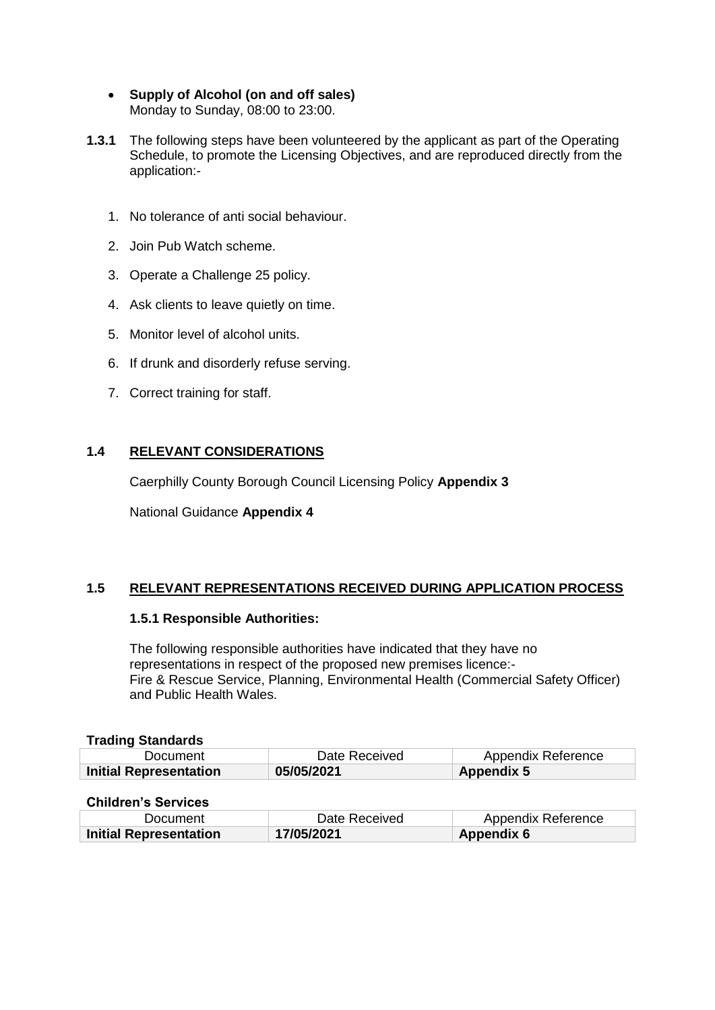- **Supply of Alcohol (on and off sales)**  Monday to Sunday, 08:00 to 23:00.
- **1.3.1** The following steps have been volunteered by the applicant as part of the Operating Schedule, to promote the Licensing Objectives, and are reproduced directly from the application:-
	- 1. No tolerance of anti social behaviour.
	- 2. Join Pub Watch scheme.
	- 3. Operate a Challenge 25 policy.
	- 4. Ask clients to leave quietly on time.
	- 5. Monitor level of alcohol units.
	- 6. If drunk and disorderly refuse serving.
	- 7. Correct training for staff.

# **1.4 RELEVANT CONSIDERATIONS**

Caerphilly County Borough Council Licensing Policy **Appendix 3**

National Guidance **Appendix 4**

# **1.5 RELEVANT REPRESENTATIONS RECEIVED DURING APPLICATION PROCESS**

# **1.5.1 Responsible Authorities:**

The following responsible authorities have indicated that they have no representations in respect of the proposed new premises licence:- Fire & Rescue Service, Planning, Environmental Health (Commercial Safety Officer) and Public Health Wales.

# **Trading Standards**

| Document                      | Date Received | Appendix Reference |
|-------------------------------|---------------|--------------------|
| <b>Initial Representation</b> | 05/05/2021    | <b>Appendix 5</b>  |

# **Children's Services**

| Document                      | Date Received | Appendix Reference |
|-------------------------------|---------------|--------------------|
| <b>Initial Representation</b> | 17/05/2021    | Appendix 6         |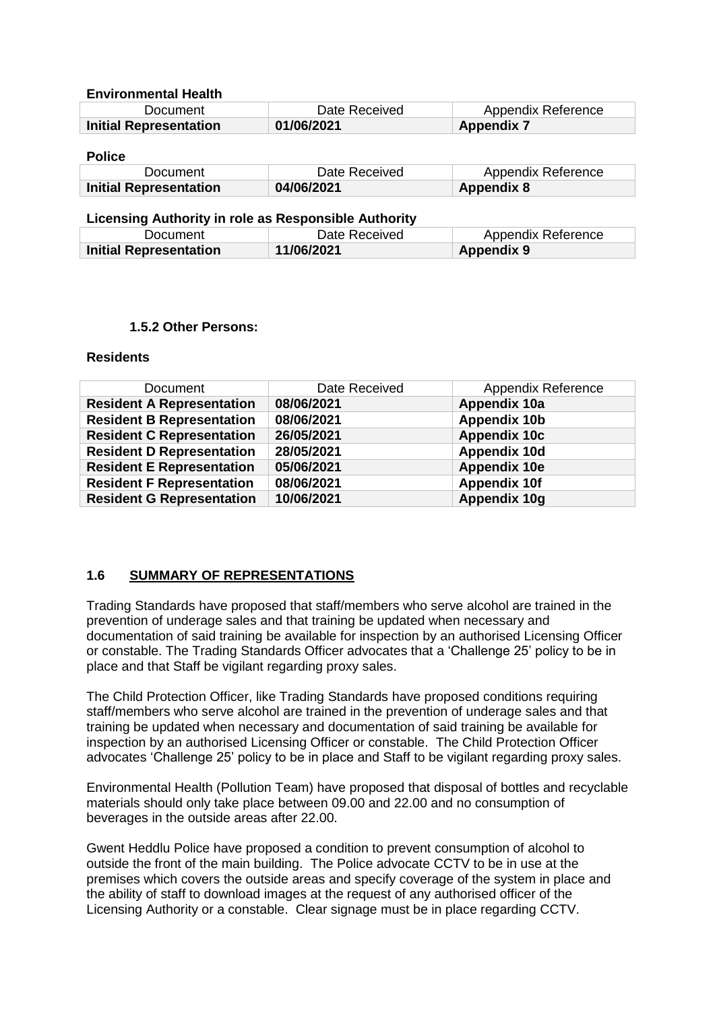#### **Environmental Health**

| Document                      | Date Received | Appendix Reference |
|-------------------------------|---------------|--------------------|
| <b>Initial Representation</b> | 01/06/2021    | <b>Appendix 7</b>  |

#### **Police**

| Document                      | Date Received | Appendix Reference |
|-------------------------------|---------------|--------------------|
| <b>Initial Representation</b> | 04/06/2021    | <b>Appendix 8</b>  |

#### **Licensing Authority in role as Responsible Authority**

| Document                      | Date Received | Appendix Reference |
|-------------------------------|---------------|--------------------|
| <b>Initial Representation</b> | 11/06/2021    | <b>Appendix 9</b>  |

#### **1.5.2 Other Persons:**

#### **Residents**

| <b>Document</b>                  | Date Received | Appendix Reference  |
|----------------------------------|---------------|---------------------|
| <b>Resident A Representation</b> | 08/06/2021    | Appendix 10a        |
| <b>Resident B Representation</b> | 08/06/2021    | <b>Appendix 10b</b> |
| <b>Resident C Representation</b> | 26/05/2021    | <b>Appendix 10c</b> |
| <b>Resident D Representation</b> | 28/05/2021    | <b>Appendix 10d</b> |
| <b>Resident E Representation</b> | 05/06/2021    | <b>Appendix 10e</b> |
| <b>Resident F Representation</b> | 08/06/2021    | <b>Appendix 10f</b> |
| <b>Resident G Representation</b> | 10/06/2021    | Appendix 10g        |

# **1.6 SUMMARY OF REPRESENTATIONS**

Trading Standards have proposed that staff/members who serve alcohol are trained in the prevention of underage sales and that training be updated when necessary and documentation of said training be available for inspection by an authorised Licensing Officer or constable. The Trading Standards Officer advocates that a 'Challenge 25' policy to be in place and that Staff be vigilant regarding proxy sales.

The Child Protection Officer, like Trading Standards have proposed conditions requiring staff/members who serve alcohol are trained in the prevention of underage sales and that training be updated when necessary and documentation of said training be available for inspection by an authorised Licensing Officer or constable. The Child Protection Officer advocates 'Challenge 25' policy to be in place and Staff to be vigilant regarding proxy sales.

Environmental Health (Pollution Team) have proposed that disposal of bottles and recyclable materials should only take place between 09.00 and 22.00 and no consumption of beverages in the outside areas after 22.00.

Gwent Heddlu Police have proposed a condition to prevent consumption of alcohol to outside the front of the main building. The Police advocate CCTV to be in use at the premises which covers the outside areas and specify coverage of the system in place and the ability of staff to download images at the request of any authorised officer of the Licensing Authority or a constable. Clear signage must be in place regarding CCTV.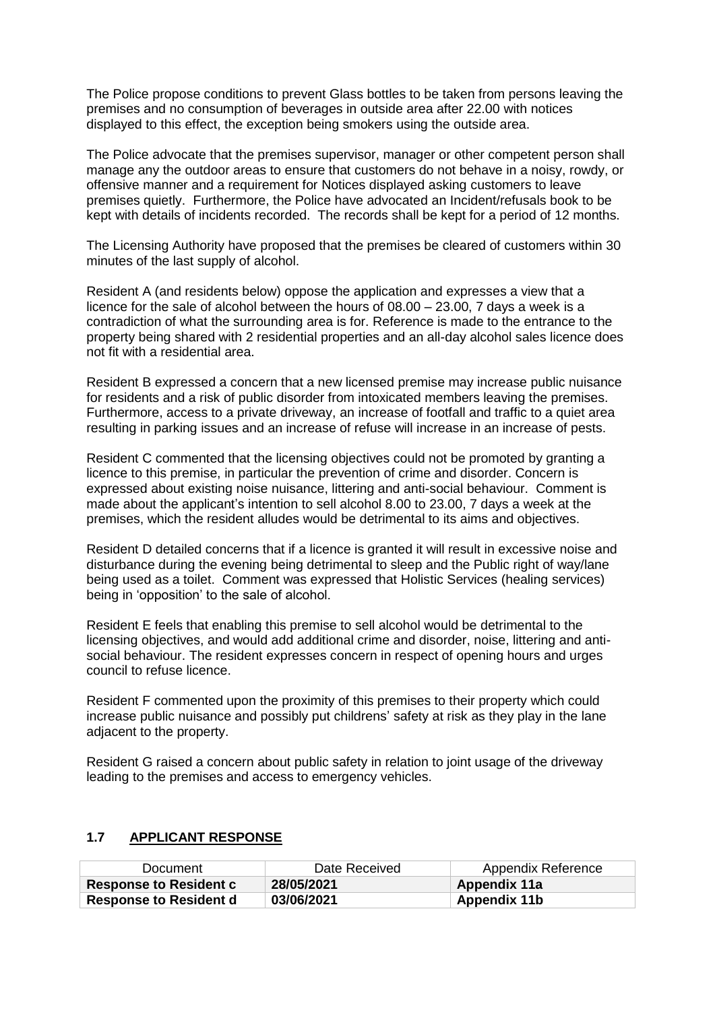The Police propose conditions to prevent Glass bottles to be taken from persons leaving the premises and no consumption of beverages in outside area after 22.00 with notices displayed to this effect, the exception being smokers using the outside area.

The Police advocate that the premises supervisor, manager or other competent person shall manage any the outdoor areas to ensure that customers do not behave in a noisy, rowdy, or offensive manner and a requirement for Notices displayed asking customers to leave premises quietly. Furthermore, the Police have advocated an Incident/refusals book to be kept with details of incidents recorded. The records shall be kept for a period of 12 months.

The Licensing Authority have proposed that the premises be cleared of customers within 30 minutes of the last supply of alcohol.

Resident A (and residents below) oppose the application and expresses a view that a licence for the sale of alcohol between the hours of 08.00 – 23.00, 7 days a week is a contradiction of what the surrounding area is for. Reference is made to the entrance to the property being shared with 2 residential properties and an all-day alcohol sales licence does not fit with a residential area.

Resident B expressed a concern that a new licensed premise may increase public nuisance for residents and a risk of public disorder from intoxicated members leaving the premises. Furthermore, access to a private driveway, an increase of footfall and traffic to a quiet area resulting in parking issues and an increase of refuse will increase in an increase of pests.

Resident C commented that the licensing objectives could not be promoted by granting a licence to this premise, in particular the prevention of crime and disorder. Concern is expressed about existing noise nuisance, littering and anti-social behaviour. Comment is made about the applicant's intention to sell alcohol 8.00 to 23.00, 7 days a week at the premises, which the resident alludes would be detrimental to its aims and objectives.

Resident D detailed concerns that if a licence is granted it will result in excessive noise and disturbance during the evening being detrimental to sleep and the Public right of way/lane being used as a toilet. Comment was expressed that Holistic Services (healing services) being in 'opposition' to the sale of alcohol.

Resident E feels that enabling this premise to sell alcohol would be detrimental to the licensing objectives, and would add additional crime and disorder, noise, littering and antisocial behaviour. The resident expresses concern in respect of opening hours and urges council to refuse licence.

Resident F commented upon the proximity of this premises to their property which could increase public nuisance and possibly put childrens' safety at risk as they play in the lane adjacent to the property.

Resident G raised a concern about public safety in relation to joint usage of the driveway leading to the premises and access to emergency vehicles.

# **1.7 APPLICANT RESPONSE**

| Document                      | Date Received | Appendix Reference |
|-------------------------------|---------------|--------------------|
| <b>Response to Resident c</b> | 28/05/2021    | Appendix 11a       |
| <b>Response to Resident d</b> | 03/06/2021    | Appendix 11b       |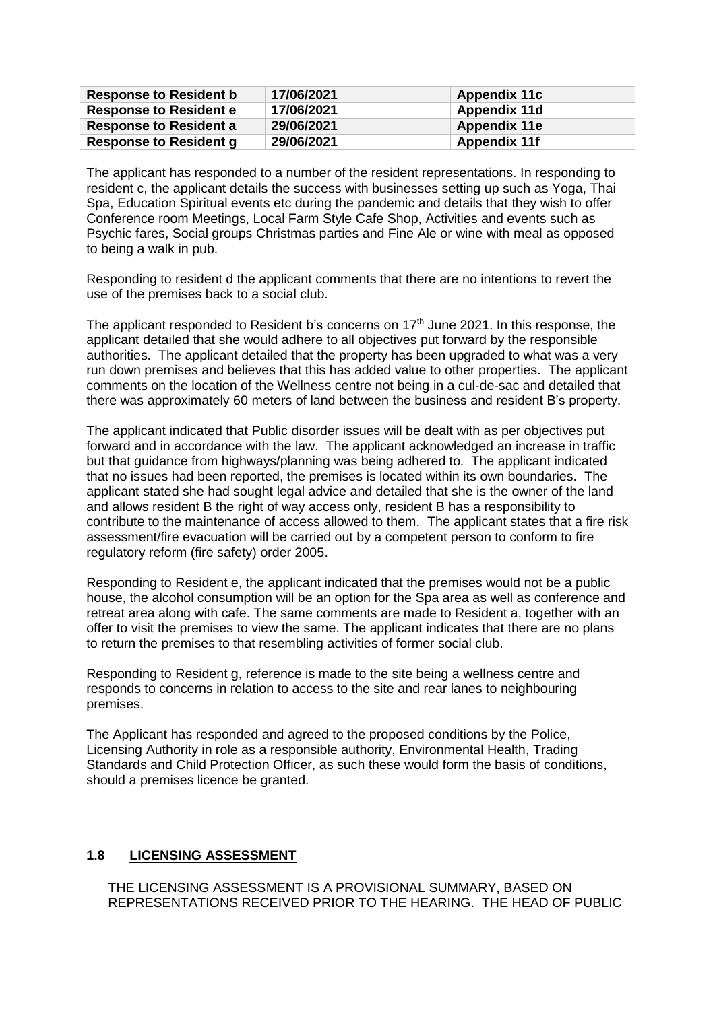| <b>Response to Resident b</b> | 17/06/2021 | <b>Appendix 11c</b> |
|-------------------------------|------------|---------------------|
| <b>Response to Resident e</b> | 17/06/2021 | Appendix 11d        |
| <b>Response to Resident a</b> | 29/06/2021 | <b>Appendix 11e</b> |
| <b>Response to Resident g</b> | 29/06/2021 | <b>Appendix 11f</b> |

The applicant has responded to a number of the resident representations. In responding to resident c, the applicant details the success with businesses setting up such as Yoga, Thai Spa, Education Spiritual events etc during the pandemic and details that they wish to offer Conference room Meetings, Local Farm Style Cafe Shop, Activities and events such as Psychic fares, Social groups Christmas parties and Fine Ale or wine with meal as opposed to being a walk in pub.

Responding to resident d the applicant comments that there are no intentions to revert the use of the premises back to a social club.

The applicant responded to Resident b's concerns on  $17<sup>th</sup>$  June 2021. In this response, the applicant detailed that she would adhere to all objectives put forward by the responsible authorities. The applicant detailed that the property has been upgraded to what was a very run down premises and believes that this has added value to other properties. The applicant comments on the location of the Wellness centre not being in a cul-de-sac and detailed that there was approximately 60 meters of land between the business and resident B's property.

The applicant indicated that Public disorder issues will be dealt with as per objectives put forward and in accordance with the law. The applicant acknowledged an increase in traffic but that guidance from highways/planning was being adhered to. The applicant indicated that no issues had been reported, the premises is located within its own boundaries. The applicant stated she had sought legal advice and detailed that she is the owner of the land and allows resident B the right of way access only, resident B has a responsibility to contribute to the maintenance of access allowed to them. The applicant states that a fire risk assessment/fire evacuation will be carried out by a competent person to conform to fire regulatory reform (fire safety) order 2005.

Responding to Resident e, the applicant indicated that the premises would not be a public house, the alcohol consumption will be an option for the Spa area as well as conference and retreat area along with cafe. The same comments are made to Resident a, together with an offer to visit the premises to view the same. The applicant indicates that there are no plans to return the premises to that resembling activities of former social club.

Responding to Resident g, reference is made to the site being a wellness centre and responds to concerns in relation to access to the site and rear lanes to neighbouring premises.

The Applicant has responded and agreed to the proposed conditions by the Police, Licensing Authority in role as a responsible authority, Environmental Health, Trading Standards and Child Protection Officer, as such these would form the basis of conditions, should a premises licence be granted.

# **1.8 LICENSING ASSESSMENT**

THE LICENSING ASSESSMENT IS A PROVISIONAL SUMMARY, BASED ON REPRESENTATIONS RECEIVED PRIOR TO THE HEARING. THE HEAD OF PUBLIC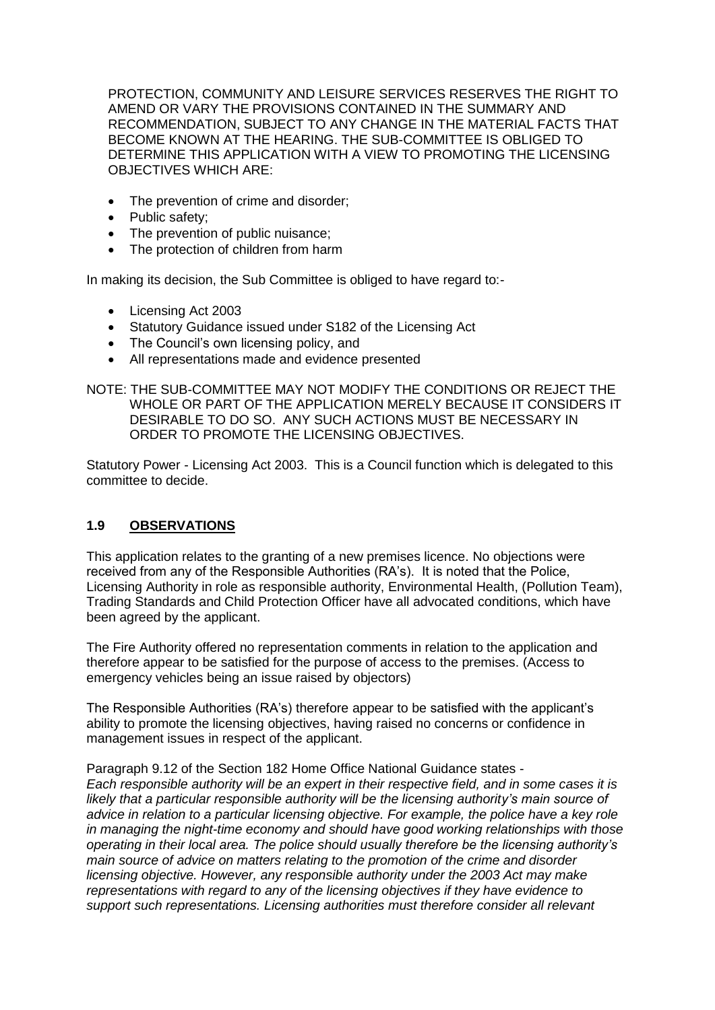PROTECTION, COMMUNITY AND LEISURE SERVICES RESERVES THE RIGHT TO AMEND OR VARY THE PROVISIONS CONTAINED IN THE SUMMARY AND RECOMMENDATION, SUBJECT TO ANY CHANGE IN THE MATERIAL FACTS THAT BECOME KNOWN AT THE HEARING. THE SUB-COMMITTEE IS OBLIGED TO DETERMINE THIS APPLICATION WITH A VIEW TO PROMOTING THE LICENSING OBJECTIVES WHICH ARE:

- The prevention of crime and disorder;
- Public safety:
- The prevention of public nuisance;
- The protection of children from harm

In making its decision, the Sub Committee is obliged to have regard to:-

- Licensing Act 2003
- Statutory Guidance issued under S182 of the Licensing Act
- The Council's own licensing policy, and
- All representations made and evidence presented

NOTE: THE SUB-COMMITTEE MAY NOT MODIFY THE CONDITIONS OR REJECT THE WHOLE OR PART OF THE APPLICATION MERELY BECAUSE IT CONSIDERS IT DESIRABLE TO DO SO. ANY SUCH ACTIONS MUST BE NECESSARY IN ORDER TO PROMOTE THE LICENSING OBJECTIVES.

Statutory Power - Licensing Act 2003. This is a Council function which is delegated to this committee to decide.

# **1.9 OBSERVATIONS**

This application relates to the granting of a new premises licence. No objections were received from any of the Responsible Authorities (RA's). It is noted that the Police, Licensing Authority in role as responsible authority, Environmental Health, (Pollution Team), Trading Standards and Child Protection Officer have all advocated conditions, which have been agreed by the applicant.

The Fire Authority offered no representation comments in relation to the application and therefore appear to be satisfied for the purpose of access to the premises. (Access to emergency vehicles being an issue raised by objectors)

The Responsible Authorities (RA's) therefore appear to be satisfied with the applicant's ability to promote the licensing objectives, having raised no concerns or confidence in management issues in respect of the applicant.

Paragraph 9.12 of the Section 182 Home Office National Guidance states - *Each responsible authority will be an expert in their respective field, and in some cases it is likely that a particular responsible authority will be the licensing authority's main source of advice in relation to a particular licensing objective. For example, the police have a key role in managing the night-time economy and should have good working relationships with those operating in their local area. The police should usually therefore be the licensing authority's main source of advice on matters relating to the promotion of the crime and disorder licensing objective. However, any responsible authority under the 2003 Act may make representations with regard to any of the licensing objectives if they have evidence to support such representations. Licensing authorities must therefore consider all relevant*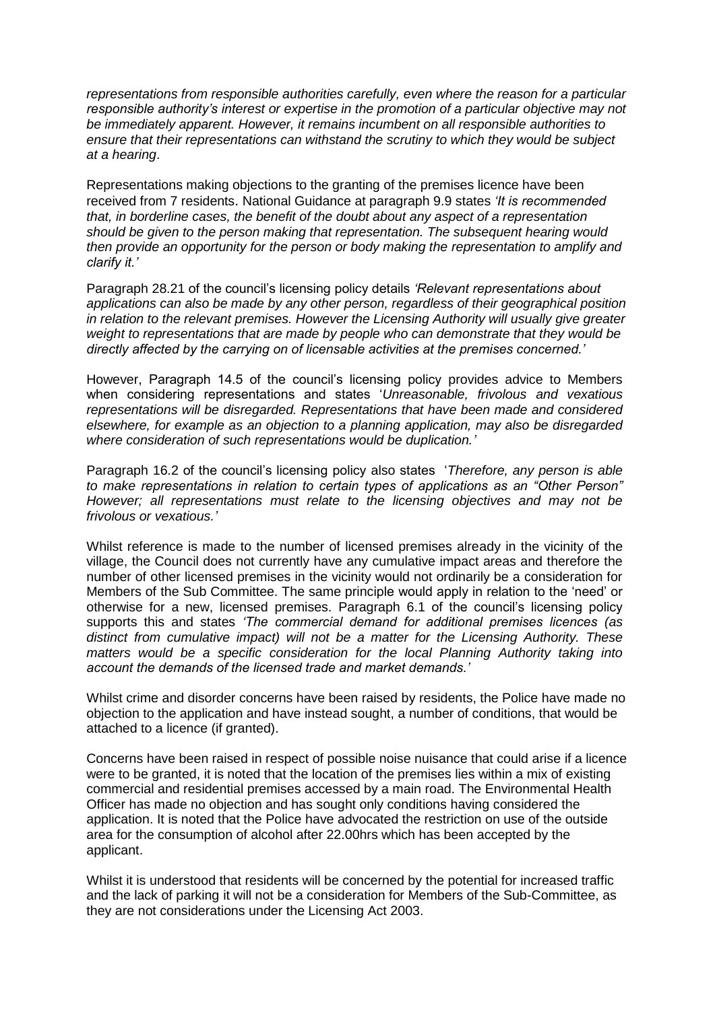*representations from responsible authorities carefully, even where the reason for a particular responsible authority's interest or expertise in the promotion of a particular objective may not be immediately apparent. However, it remains incumbent on all responsible authorities to ensure that their representations can withstand the scrutiny to which they would be subject at a hearing*.

Representations making objections to the granting of the premises licence have been received from 7 residents. National Guidance at paragraph 9.9 states *'It is recommended that, in borderline cases, the benefit of the doubt about any aspect of a representation should be given to the person making that representation. The subsequent hearing would then provide an opportunity for the person or body making the representation to amplify and clarify it.'* 

Paragraph 28.21 of the council's licensing policy details *'Relevant representations about applications can also be made by any other person, regardless of their geographical position in relation to the relevant premises. However the Licensing Authority will usually give greater weight to representations that are made by people who can demonstrate that they would be directly affected by the carrying on of licensable activities at the premises concerned.'*

However, Paragraph 14.5 of the council's licensing policy provides advice to Members when considering representations and states '*Unreasonable, frivolous and vexatious representations will be disregarded. Representations that have been made and considered elsewhere, for example as an objection to a planning application, may also be disregarded where consideration of such representations would be duplication.'*

Paragraph 16.2 of the council's licensing policy also states '*Therefore, any person is able to make representations in relation to certain types of applications as an "Other Person" However; all representations must relate to the licensing objectives and may not be frivolous or vexatious.'*

Whilst reference is made to the number of licensed premises already in the vicinity of the village, the Council does not currently have any cumulative impact areas and therefore the number of other licensed premises in the vicinity would not ordinarily be a consideration for Members of the Sub Committee. The same principle would apply in relation to the 'need' or otherwise for a new, licensed premises. Paragraph 6.1 of the council's licensing policy supports this and states *'The commercial demand for additional premises licences (as distinct from cumulative impact) will not be a matter for the Licensing Authority. These matters would be a specific consideration for the local Planning Authority taking into account the demands of the licensed trade and market demands.'*

Whilst crime and disorder concerns have been raised by residents, the Police have made no objection to the application and have instead sought, a number of conditions, that would be attached to a licence (if granted).

Concerns have been raised in respect of possible noise nuisance that could arise if a licence were to be granted, it is noted that the location of the premises lies within a mix of existing commercial and residential premises accessed by a main road. The Environmental Health Officer has made no objection and has sought only conditions having considered the application. It is noted that the Police have advocated the restriction on use of the outside area for the consumption of alcohol after 22.00hrs which has been accepted by the applicant.

Whilst it is understood that residents will be concerned by the potential for increased traffic and the lack of parking it will not be a consideration for Members of the Sub-Committee, as they are not considerations under the Licensing Act 2003.